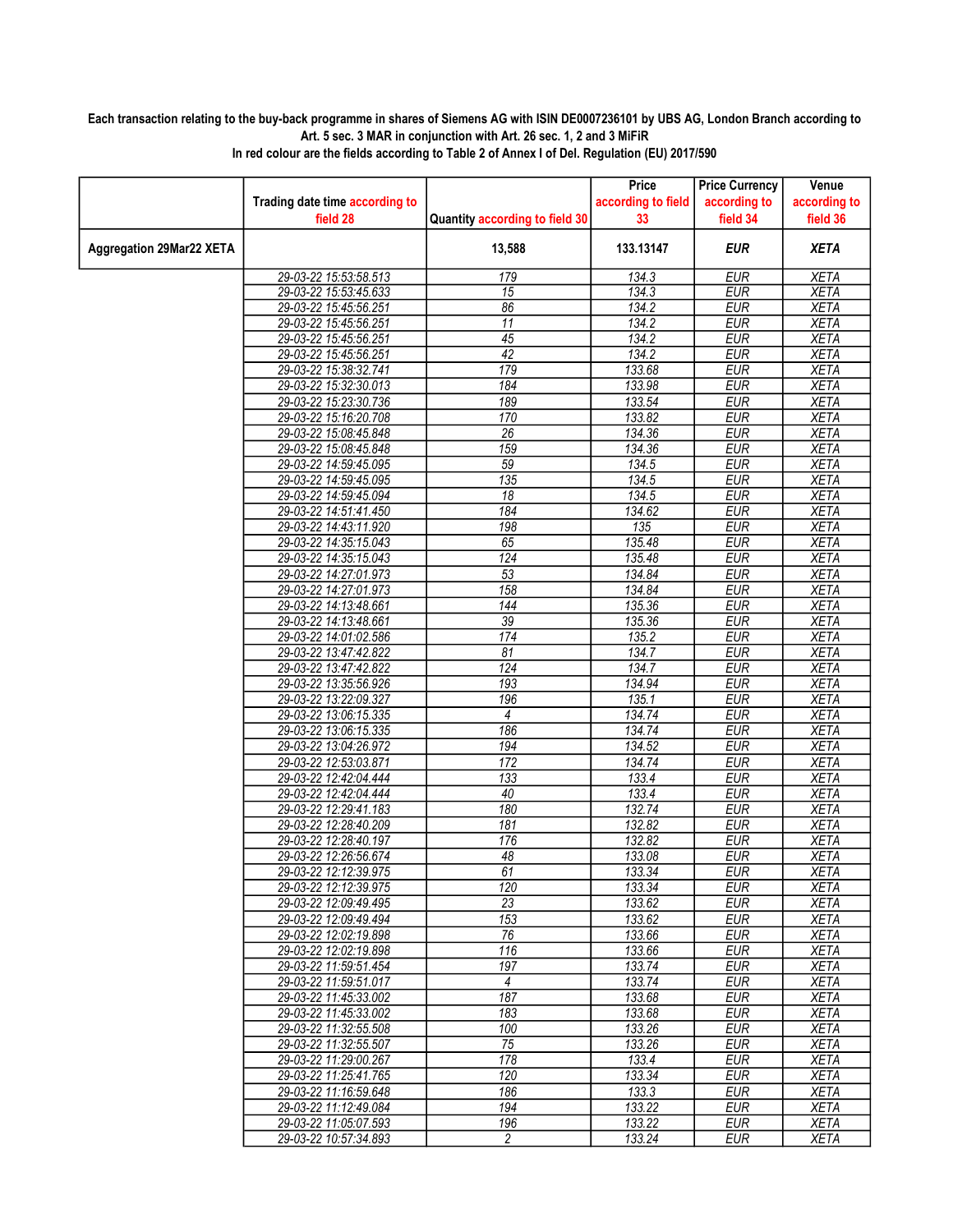## Each transaction relating to the buy-back programme in shares of Siemens AG with ISIN DE0007236101 by UBS AG, London Branch according to Art. 5 sec. 3 MAR in conjunction with Art. 26 sec. 1, 2 and 3 MiFiR

|                                 |                                |                                | Price              | <b>Price Currency</b> | Venue               |
|---------------------------------|--------------------------------|--------------------------------|--------------------|-----------------------|---------------------|
|                                 | Trading date time according to |                                | according to field | according to          | according to        |
|                                 | field 28                       | Quantity according to field 30 | 33                 | field 34              | field 36            |
| <b>Aggregation 29Mar22 XETA</b> |                                | 13,588                         | 133.13147          | <b>EUR</b>            | <b>XETA</b>         |
|                                 | 29-03-22 15:53:58.513          | 179                            | 134.3              | <b>EUR</b>            | <b>XETA</b>         |
|                                 | 29-03-22 15:53:45.633          | $\overline{15}$                | 134.3              | <b>EUR</b>            | <b>XETA</b>         |
|                                 | 29-03-22 15:45:56.251          | 86                             | 134.2              | <b>EUR</b>            | <b>XETA</b>         |
|                                 | 29-03-22 15:45:56.251          | $\overline{11}$                | 134.2              | <b>EUR</b>            | <b>XETA</b>         |
|                                 | 29-03-22 15:45:56.251          | $\overline{45}$                | 134.2              | <b>EUR</b>            | <b>XETA</b>         |
|                                 | 29-03-22 15:45:56.251          | 42                             | 134.2              | <b>EUR</b>            | <b>XETA</b>         |
|                                 | 29-03-22 15:38:32.741          | 179                            | 133.68             | <b>EUR</b>            | <b>XETA</b>         |
|                                 | 29-03-22 15:32:30.013          | 184                            | 133.98             | <b>EUR</b>            | <b>XETA</b>         |
|                                 | 29-03-22 15:23:30.736          | 189                            | 133.54             | <b>EUR</b>            | <b>XETA</b>         |
|                                 | 29-03-22 15:16:20.708          | 170                            | 133.82             | <b>EUR</b>            | <b>XETA</b>         |
|                                 | 29-03-22 15:08:45.848          | $\overline{26}$                | 134.36             | <b>EUR</b>            | <b>XETA</b>         |
|                                 | 29-03-22 15:08:45.848          | 159                            | 134.36             | <b>EUR</b>            | <b>XETA</b>         |
|                                 | 29-03-22 14:59:45.095          | 59                             | 134.5              | <b>EUR</b>            | <b>XETA</b>         |
|                                 | 29-03-22 14:59:45.095          | 135                            | 134.5              | <b>EUR</b>            | <b>XETA</b>         |
|                                 | 29-03-22 14:59:45.094          | $\overline{18}$                | 134.5              | <b>EUR</b>            | <b>XETA</b>         |
|                                 | 29-03-22 14:51:41.450          | 184                            | 134.62             | <b>EUR</b>            | <b>XETA</b>         |
|                                 | 29-03-22 14:43:11.920          | 198                            | 135                | <b>EUR</b>            | <b>XETA</b>         |
|                                 | 29-03-22 14:35:15.043          | 65                             | 135.48             | <b>EUR</b>            | <b>XETA</b>         |
|                                 | 29-03-22 14:35:15.043          | $\overline{124}$               | 135.48             | <b>EUR</b>            | <b>XETA</b>         |
|                                 | 29-03-22 14:27:01.973          | $\overline{53}$                | 134.84             | <b>EUR</b>            | <b>XETA</b>         |
|                                 | 29-03-22 14:27:01.973          | 158                            | 134.84             | <b>EUR</b>            | <b>XETA</b>         |
|                                 | 29-03-22 14:13:48.661          | 144                            | 135.36             | <b>EUR</b>            | <b>XETA</b>         |
|                                 | 29-03-22 14:13:48.661          | $\overline{39}$                | 135.36             | <b>EUR</b>            | <b>XETA</b>         |
|                                 | 29-03-22 14:01:02.586          | $\overline{174}$               | 135.2              | <b>EUR</b>            | <b>XETA</b>         |
|                                 | 29-03-22 13:47:42.822          | $\overline{81}$                | 134.7              | <b>EUR</b>            | <b>XETA</b>         |
|                                 | 29-03-22 13:47:42.822          | $\overline{124}$               | 134.7              | <b>EUR</b>            | <b>XETA</b>         |
|                                 | 29-03-22 13:35:56.926          | 193                            | 134.94             | <b>EUR</b>            | <b>XETA</b>         |
|                                 | 29-03-22 13:22:09.327          | 196                            | 135.1              | <b>EUR</b>            | <b>XETA</b>         |
|                                 | 29-03-22 13:06:15.335          | 4                              | 134.74             | <b>EUR</b>            | <b>XETA</b>         |
|                                 | 29-03-22 13:06:15.335          | 186                            | 134.74             | <b>EUR</b>            | <b>XETA</b>         |
|                                 | 29-03-22 13:04:26.972          | 194                            | 134.52             | <b>EUR</b>            | <b>XETA</b>         |
|                                 | 29-03-22 12:53:03.871          | 172                            | 134.74             | <b>EUR</b>            | <b>XETA</b>         |
|                                 | 29-03-22 12:42:04.444          | 133                            | 133.4              | <b>EUR</b>            | <b>XETA</b>         |
|                                 | 29-03-22 12:42:04.444          | 40                             | 133.4              | <b>EUR</b>            | <b>XETA</b>         |
|                                 | 29-03-22 12:29:41.183          | 180                            | 132.74             | <b>EUR</b>            | <b>XETA</b>         |
|                                 | 29-03-22 12:28:40.209          | 181                            | 132.82             | <b>EUR</b>            | <b>XETA</b>         |
|                                 | 29-03-22 12:28:40.197          | 176                            | 132.82             | <b>EUR</b>            | <b>XETA</b>         |
|                                 | 29-03-22 12:26:56.674          | 48                             | 133.08             | <b>EUR</b>            | <b>XETA</b>         |
|                                 | 29-03-22 12:12:39.975          | 61                             | 133.34             | <b>EUR</b>            | <b>XETA</b>         |
|                                 | 29-03-22 12:12:39.975          | 120                            | 133.34             | <b>EUR</b>            | <b>XETA</b>         |
|                                 | 29-03-22 12:09:49.495          | 23                             |                    |                       |                     |
|                                 | 29-03-22 12:09:49.494          | 153                            | 133.62<br>133.62   | EUR<br><b>EUR</b>     | XETA<br><b>XETA</b> |
|                                 | 29-03-22 12:02:19.898          | $\overline{76}$                |                    |                       |                     |
|                                 | 29-03-22 12:02:19.898          |                                | 133.66             | <b>EUR</b>            | <b>XETA</b>         |
|                                 |                                | 116                            | 133.66             | <b>EUR</b>            | <b>XETA</b>         |
|                                 | 29-03-22 11:59:51.454          | 197                            | 133.74<br>133.74   | <b>EUR</b>            | <b>XETA</b>         |
|                                 | 29-03-22 11:59:51.017          | 4                              |                    | <b>EUR</b>            | <b>XETA</b>         |
|                                 | 29-03-22 11:45:33.002          | 187                            | 133.68             | EUR                   | <b>XETA</b>         |
|                                 | 29-03-22 11:45:33.002          | 183                            | 133.68             | <b>EUR</b>            | <b>XETA</b>         |
|                                 | 29-03-22 11:32:55.508          | 100                            | 133.26             | <b>EUR</b>            | <b>XETA</b>         |
|                                 | 29-03-22 11:32:55.507          | 75                             | 133.26             | <b>EUR</b>            | <b>XETA</b>         |
|                                 | 29-03-22 11:29:00.267          | 178                            | 133.4              | <b>EUR</b>            | <b>XETA</b>         |
|                                 | 29-03-22 11:25:41.765          | 120                            | 133.34             | $E\overline{UR}$      | <b>XETA</b>         |
|                                 | 29-03-22 11:16:59.648          | 186                            | 133.3              | EUR                   | <b>XETA</b>         |
|                                 | 29-03-22 11:12:49.084          | 194                            | 133.22             | <b>EUR</b>            | <b>XETA</b>         |
|                                 | 29-03-22 11:05:07.593          | 196                            | 133.22             | <b>EUR</b>            | <b>XETA</b>         |
|                                 | 29-03-22 10:57:34.893          | $\overline{2}$                 | 133.24             | <b>EUR</b>            | <b>XETA</b>         |

In red colour are the fields according to Table 2 of Annex I of Del. Regulation (EU) 2017/590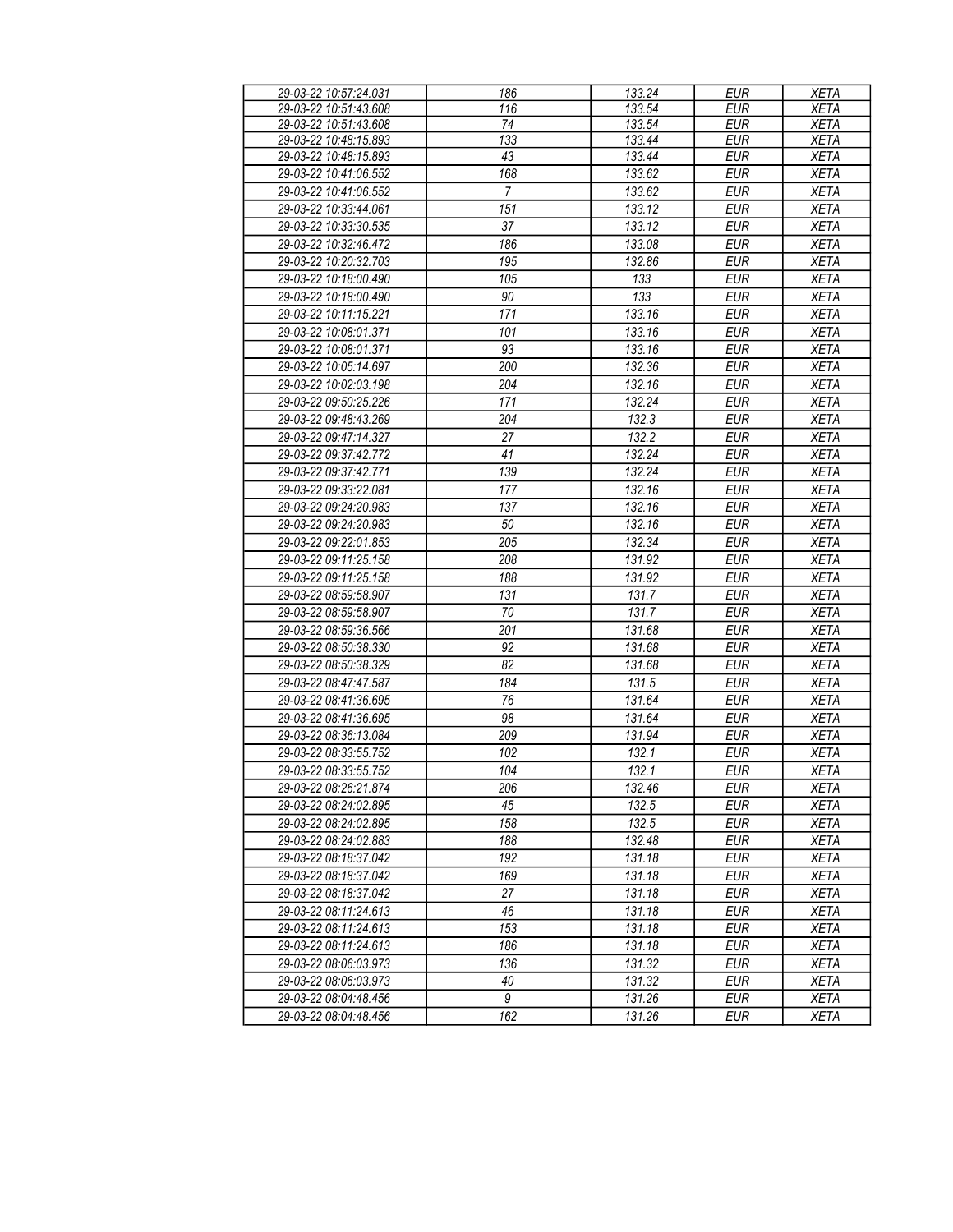| 29-03-22 10:57:24.031                          | 186              | 133.24           | <b>EUR</b> | <b>XETA</b> |
|------------------------------------------------|------------------|------------------|------------|-------------|
| 29-03-22 10:51:43.608                          | 116              | 133.54           | <b>EUR</b> | <b>XETA</b> |
| 29-03-22 10:51:43.608                          | 74               | 133.54           | <b>EUR</b> | <b>XETA</b> |
| 29-03-22 10:48:15.893                          | $\overline{133}$ | 133.44           | <b>EUR</b> | <b>XETA</b> |
| 29-03-22 10:48:15.893                          | 43               | 133.44           | <b>EUR</b> | <b>XETA</b> |
| 29-03-22 10:41:06.552                          | 168              | 133.62           | <b>EUR</b> | <b>XETA</b> |
| 29-03-22 10:41:06.552                          | $\overline{7}$   | 133.62           | <b>EUR</b> | <b>XETA</b> |
| 29-03-22 10:33:44.061                          | 151              | 133.12           | <b>EUR</b> | <b>XETA</b> |
| 29-03-22 10:33:30.535                          | 37               | 133.12           | <b>EUR</b> | <b>XETA</b> |
| 29-03-22 10:32:46.472                          | 186              | 133.08           | <b>EUR</b> | XETA        |
| 29-03-22 10:20:32.703                          | 195              | 132.86           | <b>EUR</b> | <b>XETA</b> |
| 29-03-22 10:18:00.490                          | 105              | 133              | <b>EUR</b> | <b>XETA</b> |
| 29-03-22 10:18:00.490                          | 90               | $\overline{133}$ | <b>EUR</b> | <b>XETA</b> |
| 29-03-22 10:11:15.221                          | 171              | 133.16           | <b>EUR</b> | <b>XETA</b> |
| 29-03-22 10:08:01.371                          | 101              | 133.16           | <b>EUR</b> | <b>XETA</b> |
| 29-03-22 10:08:01.371                          | 93               | 133.16           | <b>EUR</b> | <b>XETA</b> |
| 29-03-22 10:05:14.697                          | 200              | 132.36           | <b>EUR</b> | <b>XETA</b> |
| 29-03-22 10:02:03.198                          | 204              | 132.16           | <b>EUR</b> | <b>XETA</b> |
| 29-03-22 09:50:25.226                          | 171              | 132.24           | <b>EUR</b> | <b>XETA</b> |
| 29-03-22 09:48:43.269                          | 204              | 132.3            | <b>EUR</b> | <b>XETA</b> |
| 29-03-22 09:47:14.327                          | 27               | 132.2            | <b>EUR</b> | <b>XETA</b> |
| 29-03-22 09:37:42.772                          | 41               | 132.24           | <b>EUR</b> | <b>XETA</b> |
| 29-03-22 09:37:42.771                          | 139              | 132.24           | <b>EUR</b> | <b>XETA</b> |
| 29-03-22 09:33:22.081                          | 177              | 132.16           | <b>EUR</b> | <b>XETA</b> |
| 29-03-22 09:24:20.983                          | 137              | 132.16           | <b>EUR</b> | <b>XETA</b> |
| 29-03-22 09:24:20.983                          | 50               | 132.16           | <b>EUR</b> | <b>XETA</b> |
| 29-03-22 09:22:01.853                          | 205              | 132.34           | <b>EUR</b> | <b>XETA</b> |
| 29-03-22 09:11:25.158                          | 208              | 131.92           | <b>EUR</b> | <b>XETA</b> |
| 29-03-22 09:11:25.158                          | 188              | 131.92           | <b>EUR</b> | <b>XETA</b> |
| 29-03-22 08:59:58.907                          | 131              | 131.7            | <b>EUR</b> | <b>XETA</b> |
| 29-03-22 08:59:58.907                          | 70               | 131.7            | <b>EUR</b> | <b>XETA</b> |
| 29-03-22 08:59:36.566                          | 201              | 131.68           | <b>EUR</b> | <b>XETA</b> |
| 29-03-22 08:50:38.330                          | 92               | 131.68           | <b>EUR</b> | <b>XETA</b> |
| 29-03-22 08:50:38.329                          | 82               | 131.68           | <b>EUR</b> | <b>XETA</b> |
| 29-03-22 08:47:47.587                          | 184              | 131.5            | <b>EUR</b> | <b>XETA</b> |
| 29-03-22 08:41:36.695                          | 76               | 131.64           | <b>EUR</b> | <b>XETA</b> |
| 29-03-22 08:41:36.695                          | 98               | 131.64           | <b>EUR</b> | <b>XETA</b> |
| 29-03-22 08:36:13.084                          | 209              | 131.94           | <b>EUR</b> | <b>XETA</b> |
| 29-03-22 08:33:55.752                          | 102              | 132.1            | <b>EUR</b> | <b>XETA</b> |
| 29-03-22 08:33:55.752                          | 104              | 132.1            | <b>EUR</b> | <b>XETA</b> |
|                                                |                  |                  |            | <b>XETA</b> |
| 29-03-22 08:26:21.874<br>29-03-22 08:24:02.895 | 206<br>45        | 132.46<br>132.5  | EUR        | <b>XETA</b> |
|                                                |                  |                  | <b>EUR</b> |             |
| 29-03-22 08:24:02.895                          | 158              | 132.5            | <b>EUR</b> | <b>XETA</b> |
| 29-03-22 08:24:02.883                          | 188              | 132.48           | <b>EUR</b> | <b>XETA</b> |
| 29-03-22 08:18:37.042                          | 192              | 131.18           | <b>EUR</b> | <b>XETA</b> |
| 29-03-22 08:18:37.042                          | 169              | 131.18           | <b>EUR</b> | <b>XETA</b> |
| 29-03-22 08:18:37.042                          | 27               | 131.18           | <b>EUR</b> | <b>XETA</b> |
| 29-03-22 08:11:24.613                          | 46               | 131.18           | <b>EUR</b> | <b>XETA</b> |
| 29-03-22 08:11:24.613                          | 153              | 131.18           | <b>EUR</b> | <b>XETA</b> |
| 29-03-22 08:11:24.613                          | 186              | 131.18           | <b>EUR</b> | <b>XETA</b> |
| 29-03-22 08:06:03.973                          | 136              | 131.32           | <b>EUR</b> | <b>XETA</b> |
| 29-03-22 08:06:03.973                          | 40               | 131.32           | <b>EUR</b> | <b>XETA</b> |
| 29-03-22 08:04:48.456                          | $\boldsymbol{9}$ | 131.26           | <b>EUR</b> | XETA        |
| 29-03-22 08:04:48.456                          | 162              | 131.26           | EUR        | XETA        |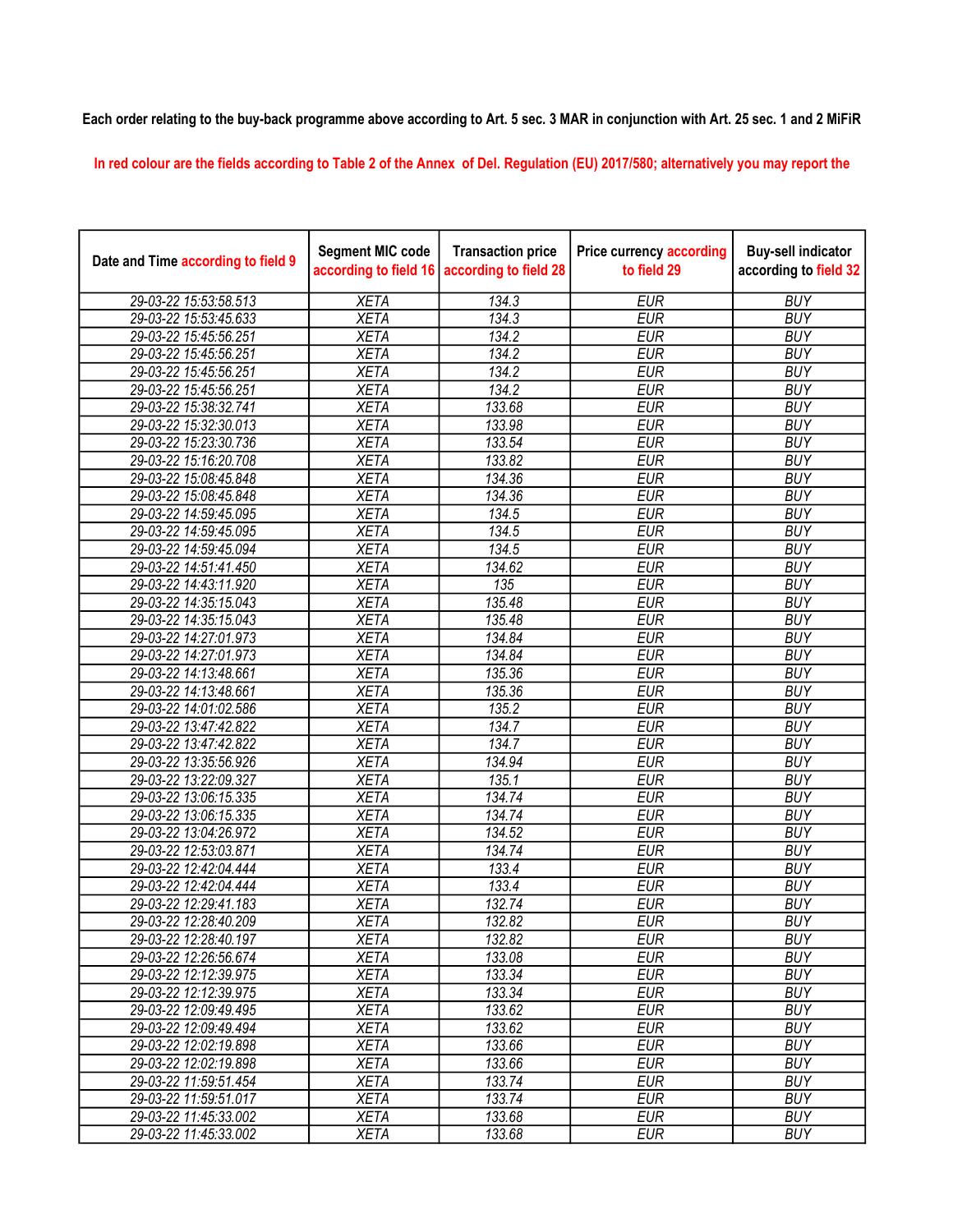## Each order relating to the buy-back programme above according to Art. 5 sec. 3 MAR in conjunction with Art. 25 sec. 1 and 2 MiFiR

In red colour are the fields according to Table 2 of the Annex of Del. Regulation (EU) 2017/580; alternatively you may report the

| Date and Time according to field 9 | <b>Segment MIC code</b><br>according to field 16 | <b>Transaction price</b><br>according to field 28 | <b>Price currency according</b><br>to field 29 | <b>Buy-sell indicator</b><br>according to field 32 |
|------------------------------------|--------------------------------------------------|---------------------------------------------------|------------------------------------------------|----------------------------------------------------|
| 29-03-22 15:53:58.513              | <b>XETA</b>                                      | 134.3                                             | <b>EUR</b>                                     | <b>BUY</b>                                         |
| 29-03-22 15:53:45.633              | <b>XETA</b>                                      | 134.3                                             | <b>EUR</b>                                     | <b>BUY</b>                                         |
| 29-03-22 15:45:56.251              | <b>XETA</b>                                      | 134.2                                             | <b>EUR</b>                                     | <b>BUY</b>                                         |
| 29-03-22 15:45:56.251              | <b>XETA</b>                                      | 134.2                                             | <b>EUR</b>                                     | <b>BUY</b>                                         |
| 29-03-22 15:45:56.251              | <b>XETA</b>                                      | 134.2                                             | <b>EUR</b>                                     | <b>BUY</b>                                         |
| 29-03-22 15:45:56.251              | <b>XETA</b>                                      | 134.2                                             | <b>EUR</b>                                     | <b>BUY</b>                                         |
| 29-03-22 15:38:32.741              | <b>XETA</b>                                      | 133.68                                            | <b>EUR</b>                                     | <b>BUY</b>                                         |
| 29-03-22 15:32:30.013              | <b>XETA</b>                                      | 133.98                                            | <b>EUR</b>                                     | <b>BUY</b>                                         |
| 29-03-22 15:23:30.736              | <b>XETA</b>                                      | 133.54                                            | <b>EUR</b>                                     | <b>BUY</b>                                         |
| 29-03-22 15:16:20.708              | <b>XETA</b>                                      | 133.82                                            | <b>EUR</b>                                     | <b>BUY</b>                                         |
| 29-03-22 15:08:45.848              | <b>XETA</b>                                      | 134.36                                            | <b>EUR</b>                                     | <b>BUY</b>                                         |
| 29-03-22 15:08:45.848              | <b>XETA</b>                                      | 134.36                                            | <b>EUR</b>                                     | <b>BUY</b>                                         |
| 29-03-22 14:59:45.095              | <b>XETA</b>                                      | 134.5                                             | <b>EUR</b>                                     | <b>BUY</b>                                         |
| 29-03-22 14:59:45.095              | <b>XETA</b>                                      | 134.5                                             | <b>EUR</b>                                     | <b>BUY</b>                                         |
| 29-03-22 14:59:45.094              | <b>XETA</b>                                      | 134.5                                             | <b>EUR</b>                                     | <b>BUY</b>                                         |
| 29-03-22 14:51:41.450              | <b>XETA</b>                                      | 134.62                                            | <b>EUR</b>                                     | <b>BUY</b>                                         |
| 29-03-22 14:43:11.920              | <b>XETA</b>                                      | 135                                               | <b>EUR</b>                                     | <b>BUY</b>                                         |
| 29-03-22 14:35:15.043              | <b>XETA</b>                                      | 135.48                                            | <b>EUR</b>                                     | <b>BUY</b>                                         |
| 29-03-22 14:35:15.043              | <b>XETA</b>                                      | 135.48                                            | <b>EUR</b>                                     | <b>BUY</b>                                         |
| 29-03-22 14:27:01.973              | <b>XETA</b>                                      | 134.84                                            | <b>EUR</b>                                     | <b>BUY</b>                                         |
| 29-03-22 14:27:01.973              | <b>XETA</b>                                      | 134.84                                            | <b>EUR</b>                                     | <b>BUY</b>                                         |
| 29-03-22 14:13:48.661              | <b>XETA</b>                                      | 135.36                                            | <b>EUR</b>                                     | <b>BUY</b>                                         |
| 29-03-22 14:13:48.661              | <b>XETA</b>                                      | 135.36                                            | <b>EUR</b>                                     | <b>BUY</b>                                         |
| 29-03-22 14:01:02.586              | <b>XETA</b>                                      | 135.2                                             | <b>EUR</b>                                     | <b>BUY</b>                                         |
| 29-03-22 13:47:42.822              | <b>XETA</b>                                      | 134.7                                             | <b>EUR</b>                                     | <b>BUY</b>                                         |
| 29-03-22 13:47:42.822              | <b>XETA</b>                                      | 134.7                                             | <b>EUR</b>                                     | <b>BUY</b>                                         |
| 29-03-22 13:35:56.926              | <b>XETA</b>                                      | 134.94                                            | <b>EUR</b>                                     | <b>BUY</b>                                         |
| 29-03-22 13:22:09.327              | <b>XETA</b>                                      | 135.1                                             | <b>EUR</b>                                     | <b>BUY</b>                                         |
| 29-03-22 13:06:15.335              | <b>XETA</b>                                      | 134.74                                            | <b>EUR</b>                                     | <b>BUY</b>                                         |
| 29-03-22 13:06:15.335              | <b>XETA</b>                                      | 134.74                                            | <b>EUR</b>                                     | <b>BUY</b>                                         |
| 29-03-22 13:04:26.972              | <b>XETA</b>                                      | 134.52                                            | <b>EUR</b>                                     | <b>BUY</b>                                         |
| 29-03-22 12:53:03.871              | <b>XETA</b>                                      | 134.74                                            | <b>EUR</b>                                     | <b>BUY</b>                                         |
| 29-03-22 12:42:04.444              | <b>XETA</b>                                      | 133.4                                             | <b>EUR</b>                                     | <b>BUY</b>                                         |
| 29-03-22 12:42:04.444              | <b>XETA</b>                                      | 133.4                                             | <b>EUR</b>                                     | <b>BUY</b>                                         |
| 29-03-22 12:29:41.183              | <b>XETA</b>                                      | 132.74                                            | <b>EUR</b>                                     | <b>BUY</b>                                         |
| 29-03-22 12:28:40.209              | <b>XETA</b>                                      | 132.82                                            | <b>EUR</b>                                     | <b>BUY</b>                                         |
| 29-03-22 12:28:40.197              | <b>XETA</b>                                      | 132.82                                            | <b>EUR</b>                                     | <b>BUY</b>                                         |
| 29-03-22 12:26:56.674              | <b>XETA</b>                                      | 133.08                                            | <b>EUR</b>                                     | <b>BUY</b>                                         |
| 29-03-22 12:12:39.975              | <b>XETA</b>                                      | 133.34                                            | <b>EUR</b>                                     | <b>BUY</b>                                         |
| 29-03-22 12:12:39.975              | <b>XETA</b>                                      | 133.34                                            | <b>EUR</b>                                     | <b>BUY</b>                                         |
| 29-03-22 12:09:49.495              | <b>XETA</b>                                      | 133.62                                            | <b>EUR</b>                                     | <b>BUY</b>                                         |
| 29-03-22 12:09:49.494              | <b>XETA</b>                                      | 133.62                                            | <b>EUR</b>                                     | <b>BUY</b>                                         |
| 29-03-22 12:02:19.898              | <b>XETA</b>                                      | 133.66                                            | <b>EUR</b>                                     | <b>BUY</b>                                         |
| 29-03-22 12:02:19.898              | <b>XETA</b>                                      | 133.66                                            | <b>EUR</b>                                     | <b>BUY</b>                                         |
| 29-03-22 11:59:51.454              | <b>XETA</b>                                      | 133.74                                            | <b>EUR</b>                                     | <b>BUY</b>                                         |
| 29-03-22 11:59:51.017              | <b>XETA</b>                                      | 133.74                                            | <b>EUR</b>                                     | <b>BUY</b>                                         |
| 29-03-22 11:45:33.002              | <b>XETA</b>                                      | 133.68                                            | <b>EUR</b>                                     | <b>BUY</b>                                         |
| 29-03-22 11:45:33.002              | <b>XETA</b>                                      | 133.68                                            | <b>EUR</b>                                     | <b>BUY</b>                                         |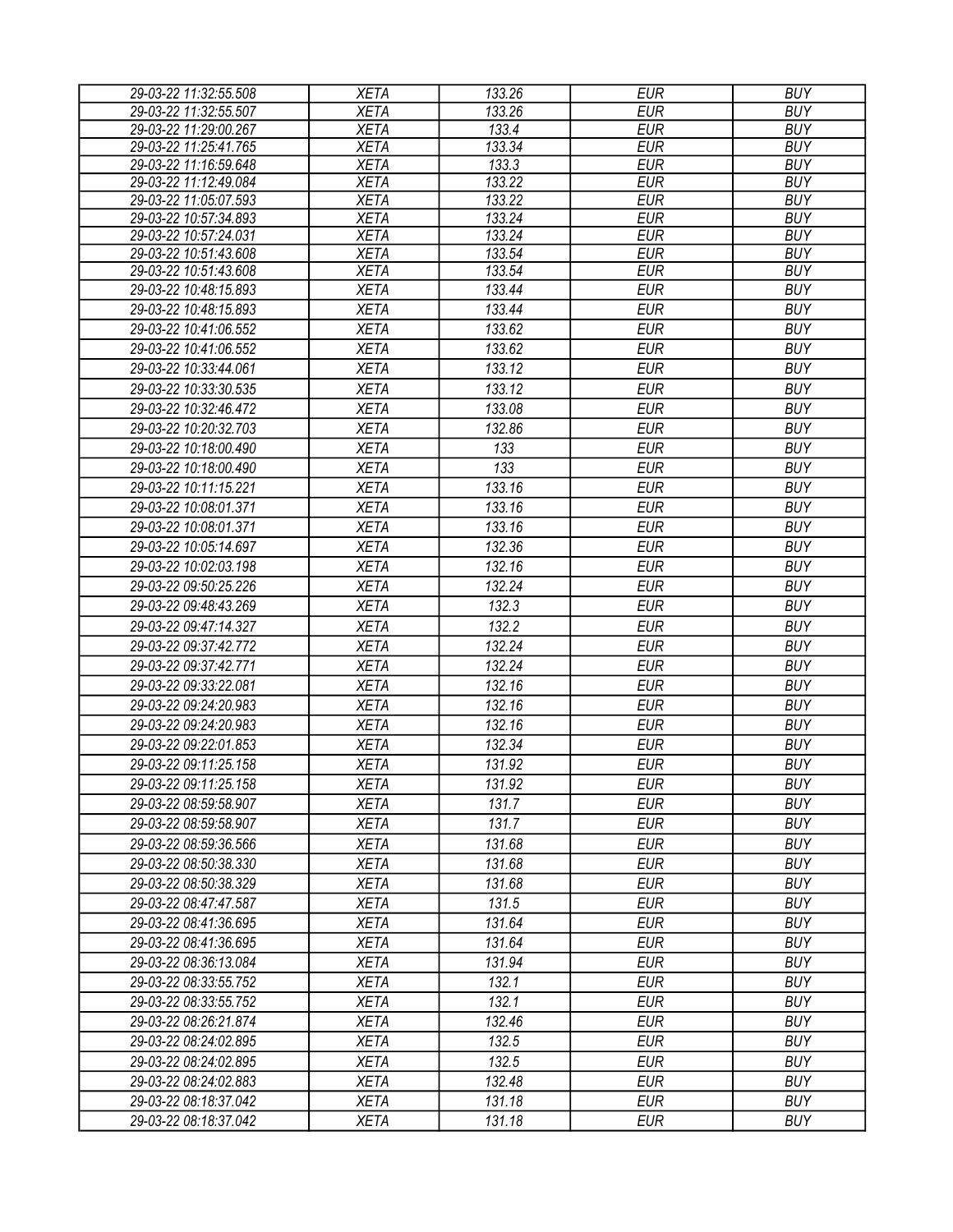| 29-03-22 11:32:55.508 | <b>XETA</b> | 133.26 | <b>EUR</b> | <b>BUY</b> |
|-----------------------|-------------|--------|------------|------------|
| 29-03-22 11:32:55.507 | <b>XETA</b> | 133.26 | <b>EUR</b> | <b>BUY</b> |
| 29-03-22 11:29:00.267 | <b>XETA</b> | 133.4  | <b>EUR</b> | <b>BUY</b> |
| 29-03-22 11:25:41.765 | <b>XETA</b> | 133.34 | <b>EUR</b> | <b>BUY</b> |
| 29-03-22 11:16:59.648 | <b>XETA</b> | 133.3  | <b>EUR</b> | <b>BUY</b> |
| 29-03-22 11:12:49.084 | <b>XETA</b> | 133.22 | <b>EUR</b> | <b>BUY</b> |
| 29-03-22 11:05:07.593 | <b>XETA</b> | 133.22 | <b>EUR</b> | <b>BUY</b> |
| 29-03-22 10:57:34.893 | <b>XETA</b> | 133.24 | <b>EUR</b> | <b>BUY</b> |
| 29-03-22 10:57:24.031 | <b>XETA</b> | 133.24 | <b>EUR</b> | <b>BUY</b> |
| 29-03-22 10:51:43.608 | <b>XETA</b> | 133.54 | <b>EUR</b> | <b>BUY</b> |
| 29-03-22 10:51:43.608 | <b>XETA</b> | 133.54 | <b>EUR</b> | <b>BUY</b> |
| 29-03-22 10:48:15.893 | <b>XETA</b> | 133.44 | <b>EUR</b> | <b>BUY</b> |
| 29-03-22 10:48:15.893 | <b>XETA</b> | 133.44 | <b>EUR</b> | <b>BUY</b> |
| 29-03-22 10:41:06.552 | <b>XETA</b> | 133.62 | <b>EUR</b> | <b>BUY</b> |
| 29-03-22 10:41:06.552 | <b>XETA</b> | 133.62 | <b>EUR</b> | <b>BUY</b> |
| 29-03-22 10:33:44.061 | <b>XETA</b> | 133.12 | <b>EUR</b> | <b>BUY</b> |
| 29-03-22 10:33:30.535 | <b>XETA</b> | 133.12 | <b>EUR</b> | <b>BUY</b> |
| 29-03-22 10:32:46.472 | <b>XETA</b> | 133.08 | <b>EUR</b> | <b>BUY</b> |
| 29-03-22 10:20:32.703 | <b>XETA</b> | 132.86 | <b>EUR</b> | <b>BUY</b> |
| 29-03-22 10:18:00.490 | <b>XETA</b> | 133    | <b>EUR</b> | <b>BUY</b> |
| 29-03-22 10:18:00.490 | <b>XETA</b> | 133    | <b>EUR</b> | <b>BUY</b> |
| 29-03-22 10:11:15.221 | <b>XETA</b> | 133.16 | <b>EUR</b> | <b>BUY</b> |
| 29-03-22 10:08:01.371 | <b>XETA</b> | 133.16 | <b>EUR</b> | <b>BUY</b> |
| 29-03-22 10:08:01.371 | <b>XETA</b> | 133.16 | <b>EUR</b> | <b>BUY</b> |
|                       |             | 132.36 |            | <b>BUY</b> |
| 29-03-22 10:05:14.697 | <b>XETA</b> |        | <b>EUR</b> |            |
| 29-03-22 10:02:03.198 | <b>XETA</b> | 132.16 | <b>EUR</b> | <b>BUY</b> |
| 29-03-22 09:50:25.226 | <b>XETA</b> | 132.24 | <b>EUR</b> | <b>BUY</b> |
| 29-03-22 09:48:43.269 | <b>XETA</b> | 132.3  | <b>EUR</b> | <b>BUY</b> |
| 29-03-22 09:47:14.327 | <b>XETA</b> | 132.2  | <b>EUR</b> | <b>BUY</b> |
| 29-03-22 09:37:42.772 | <b>XETA</b> | 132.24 | <b>EUR</b> | <b>BUY</b> |
| 29-03-22 09:37:42.771 | <b>XETA</b> | 132.24 | <b>EUR</b> | <b>BUY</b> |
| 29-03-22 09:33:22.081 | <b>XETA</b> | 132.16 | <b>EUR</b> | <b>BUY</b> |
| 29-03-22 09:24:20.983 | <b>XETA</b> | 132.16 | <b>EUR</b> | <b>BUY</b> |
| 29-03-22 09:24:20.983 | <b>XETA</b> | 132.16 | <b>EUR</b> | <b>BUY</b> |
| 29-03-22 09:22:01.853 | <b>XETA</b> | 132.34 | <b>EUR</b> | <b>BUY</b> |
| 29-03-22 09:11:25.158 | <b>XETA</b> | 131.92 | <b>EUR</b> | <b>BUY</b> |
| 29-03-22 09:11:25.158 | <b>XETA</b> | 131.92 | <b>EUR</b> | <b>BUY</b> |
| 29-03-22 08:59:58.907 | <b>XETA</b> | 131.7  | EUR        | <b>BUY</b> |
| 29-03-22 08:59:58.907 | <b>XETA</b> | 131.7  | <b>EUR</b> | <b>BUY</b> |
| 29-03-22 08:59:36.566 | <b>XETA</b> | 131.68 | <b>EUR</b> | <b>BUY</b> |
| 29-03-22 08:50:38.330 | <b>XETA</b> | 131.68 | <b>EUR</b> | <b>BUY</b> |
| 29-03-22 08:50:38.329 |             | 131.68 | <b>EUR</b> | <b>BUY</b> |
|                       | <b>XETA</b> |        |            |            |
| 29-03-22 08:47:47.587 | <b>XETA</b> | 131.5  | <b>EUR</b> | <b>BUY</b> |
| 29-03-22 08:41:36.695 | <b>XETA</b> | 131.64 | <b>EUR</b> | <b>BUY</b> |
| 29-03-22 08:41:36.695 | <b>XETA</b> | 131.64 | <b>EUR</b> | <b>BUY</b> |
| 29-03-22 08:36:13.084 | <b>XETA</b> | 131.94 | <b>EUR</b> | <b>BUY</b> |
| 29-03-22 08:33:55.752 | <b>XETA</b> | 132.1  | <b>EUR</b> | <b>BUY</b> |
| 29-03-22 08:33:55.752 | <b>XETA</b> | 132.1  | <b>EUR</b> | <b>BUY</b> |
| 29-03-22 08:26:21.874 | <b>XETA</b> | 132.46 | <b>EUR</b> | <b>BUY</b> |
| 29-03-22 08:24:02.895 | <b>XETA</b> | 132.5  | <b>EUR</b> | <b>BUY</b> |
| 29-03-22 08:24:02.895 | <b>XETA</b> | 132.5  | <b>EUR</b> | <b>BUY</b> |
| 29-03-22 08:24:02.883 | <b>XETA</b> | 132.48 | <b>EUR</b> | <b>BUY</b> |
| 29-03-22 08:18:37.042 | <b>XETA</b> | 131.18 | <b>EUR</b> | <b>BUY</b> |
| 29-03-22 08:18:37.042 | <b>XETA</b> | 131.18 | <b>EUR</b> | <b>BUY</b> |
|                       |             |        |            |            |